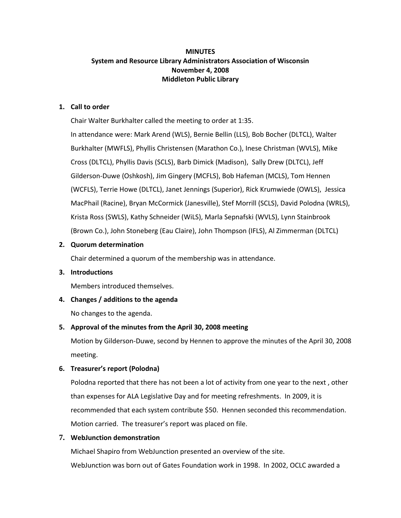# **MINUTES System and Resource Library Administrators Association of Wisconsin November 4, 2008 Middleton Public Library**

### **1. Call to order**

Chair Walter Burkhalter called the meeting to order at 1:35.

In attendance were: Mark Arend (WLS), Bernie Bellin (LLS), Bob Bocher (DLTCL), Walter Burkhalter (MWFLS), Phyllis Christensen (Marathon Co.), Inese Christman (WVLS), Mike Cross (DLTCL), Phyllis Davis (SCLS), Barb Dimick (Madison), Sally Drew (DLTCL), Jeff Gilderson-Duwe (Oshkosh), Jim Gingery (MCFLS), Bob Hafeman (MCLS), Tom Hennen (WCFLS), Terrie Howe (DLTCL), Janet Jennings (Superior), Rick Krumwiede (OWLS), Jessica MacPhail (Racine), Bryan McCormick (Janesville), Stef Morrill (SCLS), David Polodna (WRLS), Krista Ross (SWLS), Kathy Schneider (WiLS), Marla Sepnafski (WVLS), Lynn Stainbrook (Brown Co.), John Stoneberg (Eau Claire), John Thompson (IFLS), Al Zimmerman (DLTCL)

## **2. Quorum determination**

Chair determined a quorum of the membership was in attendance.

### **3. Introductions**

Members introduced themselves.

# **4. Changes / additions to the agenda**

No changes to the agenda.

# **5. Approval of the minutes from the April 30, 2008 meeting**

Motion by Gilderson-Duwe, second by Hennen to approve the minutes of the April 30, 2008 meeting.

# **6. Treasurer's report (Polodna)**

Polodna reported that there has not been a lot of activity from one year to the next , other than expenses for ALA Legislative Day and for meeting refreshments. In 2009, it is recommended that each system contribute \$50. Hennen seconded this recommendation. Motion carried. The treasurer's report was placed on file.

# **7. WebJunction demonstration**

Michael Shapiro from WebJunction presented an overview of the site. WebJunction was born out of Gates Foundation work in 1998. In 2002, OCLC awarded a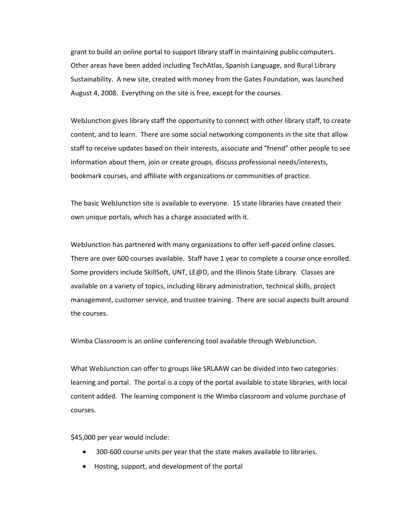grant to build an online portal to support library staff in maintaining public computers. Other areas have been added including TechAtlas, Spanish Language, and Rural Library Sustainability. A new site, created with money from the Gates Foundation, was launched August 4, 2008. Everything on the site is free, except for the courses.

WebJunction gives library staff the opportunity to connect with other library staff, to create content, and to learn. There are some social networking components in the site that allow staff to receive updates based on their interests, associate and "friend" other people to see information about them, join or create groups, discuss professional needs/interests, bookmark courses, and affiliate with organizations or communities of practice.

The basic WebJunction site is available to everyone. 15 state libraries have created their own unique portals, which has a charge associated with it.

WebJunction has partnered with many organizations to offer self-paced online classes. There are over 600 courses available. Staff have 1 year to complete a course once enrolled. Some providers include SkillSoft, UNT, LE@D, and the Illinois State Library. Classes are available on a variety of topics, including library administration, technical skills, project management, customer service, and trustee training. There are social aspects built around the courses.

Wimba Classroom is an online conferencing tool available through WebJunction.

What WebJunction can offer to groups like SRLAAW can be divided into two categories: learning and portal. The portal is a copy of the portal available to state libraries, with local content added. The learning component is the Wimba classroom and volume purchase of courses.

\$45,000 per year would include:

- 300-600 course units per year that the state makes available to libraries.
- Hosting, support, and development of the portal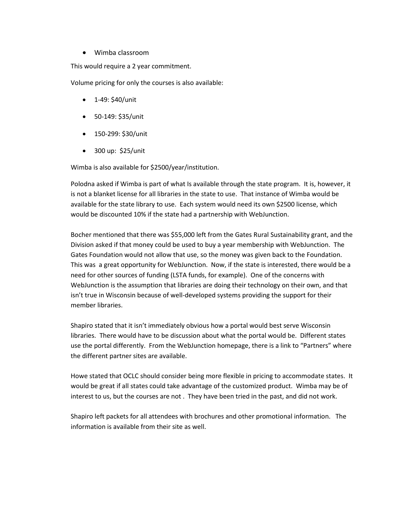Wimba classroom

This would require a 2 year commitment.

Volume pricing for only the courses is also available:

- $\bullet$  1-49: \$40/unit
- 50-149: \$35/unit
- 150-299: \$30/unit
- 300 up: \$25/unit

Wimba is also available for \$2500/year/institution.

Polodna asked if Wimba is part of what Is available through the state program. It is, however, it is not a blanket license for all libraries in the state to use. That instance of Wimba would be available for the state library to use. Each system would need its own \$2500 license, which would be discounted 10% if the state had a partnership with WebJunction.

Bocher mentioned that there was \$55,000 left from the Gates Rural Sustainability grant, and the Division asked if that money could be used to buy a year membership with WebJunction. The Gates Foundation would not allow that use, so the money was given back to the Foundation. This was a great opportunity for WebJunction. Now, if the state is interested, there would be a need for other sources of funding (LSTA funds, for example). One of the concerns with WebJunction is the assumption that libraries are doing their technology on their own, and that isn't true in Wisconsin because of well-developed systems providing the support for their member libraries.

Shapiro stated that it isn't immediately obvious how a portal would best serve Wisconsin libraries. There would have to be discussion about what the portal would be. Different states use the portal differently. From the WebJunction homepage, there is a link to "Partners" where the different partner sites are available.

Howe stated that OCLC should consider being more flexible in pricing to accommodate states. It would be great if all states could take advantage of the customized product. Wimba may be of interest to us, but the courses are not . They have been tried in the past, and did not work.

Shapiro left packets for all attendees with brochures and other promotional information. The information is available from their site as well.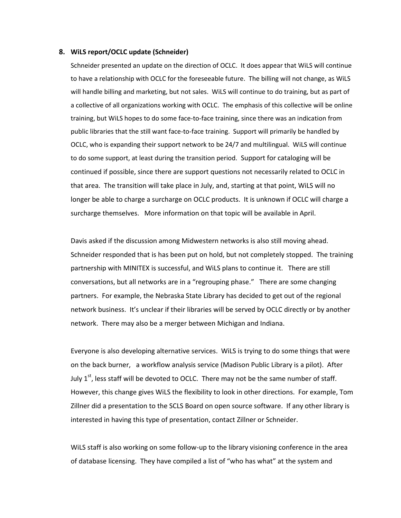#### **8. WiLS report/OCLC update (Schneider)**

Schneider presented an update on the direction of OCLC. It does appear that WiLS will continue to have a relationship with OCLC for the foreseeable future. The billing will not change, as WiLS will handle billing and marketing, but not sales. WiLS will continue to do training, but as part of a collective of all organizations working with OCLC. The emphasis of this collective will be online training, but WiLS hopes to do some face-to-face training, since there was an indication from public libraries that the still want face-to-face training. Support will primarily be handled by OCLC, who is expanding their support network to be 24/7 and multilingual. WiLS will continue to do some support, at least during the transition period. Support for cataloging will be continued if possible, since there are support questions not necessarily related to OCLC in that area. The transition will take place in July, and, starting at that point, WiLS will no longer be able to charge a surcharge on OCLC products. It is unknown if OCLC will charge a surcharge themselves. More information on that topic will be available in April.

Davis asked if the discussion among Midwestern networks is also still moving ahead. Schneider responded that is has been put on hold, but not completely stopped. The training partnership with MINITEX is successful, and WiLS plans to continue it. There are still conversations, but all networks are in a "regrouping phase." There are some changing partners. For example, the Nebraska State Library has decided to get out of the regional network business. It's unclear if their libraries will be served by OCLC directly or by another network. There may also be a merger between Michigan and Indiana.

Everyone is also developing alternative services. WiLS is trying to do some things that were on the back burner, a workflow analysis service (Madison Public Library is a pilot). After July  $1^{st}$ , less staff will be devoted to OCLC. There may not be the same number of staff. However, this change gives WiLS the flexibility to look in other directions. For example, Tom Zillner did a presentation to the SCLS Board on open source software. If any other library is interested in having this type of presentation, contact Zillner or Schneider.

WiLS staff is also working on some follow-up to the library visioning conference in the area of database licensing. They have compiled a list of "who has what" at the system and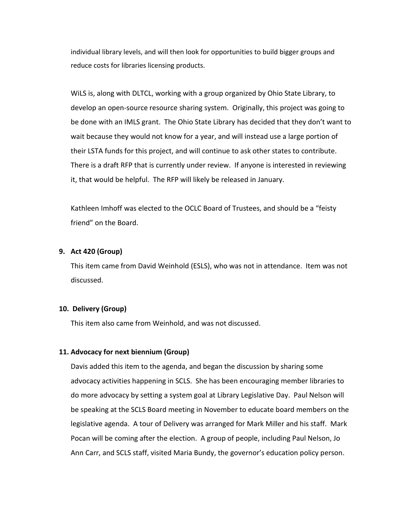individual library levels, and will then look for opportunities to build bigger groups and reduce costs for libraries licensing products.

WiLS is, along with DLTCL, working with a group organized by Ohio State Library, to develop an open-source resource sharing system. Originally, this project was going to be done with an IMLS grant. The Ohio State Library has decided that they don't want to wait because they would not know for a year, and will instead use a large portion of their LSTA funds for this project, and will continue to ask other states to contribute. There is a draft RFP that is currently under review. If anyone is interested in reviewing it, that would be helpful. The RFP will likely be released in January.

Kathleen Imhoff was elected to the OCLC Board of Trustees, and should be a "feisty friend" on the Board.

### **9. Act 420 (Group)**

This item came from David Weinhold (ESLS), who was not in attendance. Item was not discussed.

## **10. Delivery (Group)**

This item also came from Weinhold, and was not discussed.

### **11. Advocacy for next biennium (Group)**

Davis added this item to the agenda, and began the discussion by sharing some advocacy activities happening in SCLS. She has been encouraging member libraries to do more advocacy by setting a system goal at Library Legislative Day. Paul Nelson will be speaking at the SCLS Board meeting in November to educate board members on the legislative agenda. A tour of Delivery was arranged for Mark Miller and his staff. Mark Pocan will be coming after the election. A group of people, including Paul Nelson, Jo Ann Carr, and SCLS staff, visited Maria Bundy, the governor's education policy person.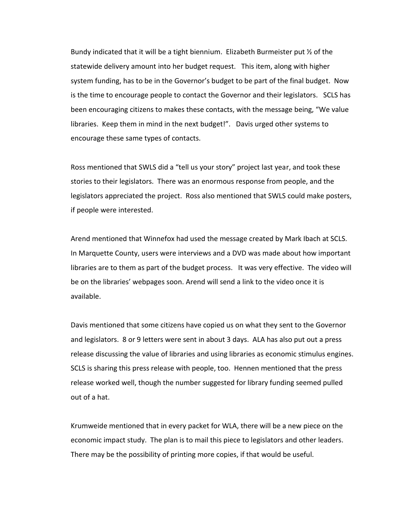Bundy indicated that it will be a tight biennium. Elizabeth Burmeister put ½ of the statewide delivery amount into her budget request. This item, along with higher system funding, has to be in the Governor's budget to be part of the final budget. Now is the time to encourage people to contact the Governor and their legislators. SCLS has been encouraging citizens to makes these contacts, with the message being, "We value libraries. Keep them in mind in the next budget!". Davis urged other systems to encourage these same types of contacts.

Ross mentioned that SWLS did a "tell us your story" project last year, and took these stories to their legislators. There was an enormous response from people, and the legislators appreciated the project. Ross also mentioned that SWLS could make posters, if people were interested.

Arend mentioned that Winnefox had used the message created by Mark Ibach at SCLS. In Marquette County, users were interviews and a DVD was made about how important libraries are to them as part of the budget process. It was very effective. The video will be on the libraries' webpages soon. Arend will send a link to the video once it is available.

Davis mentioned that some citizens have copied us on what they sent to the Governor and legislators. 8 or 9 letters were sent in about 3 days. ALA has also put out a press release discussing the value of libraries and using libraries as economic stimulus engines. SCLS is sharing this press release with people, too. Hennen mentioned that the press release worked well, though the number suggested for library funding seemed pulled out of a hat.

Krumweide mentioned that in every packet for WLA, there will be a new piece on the economic impact study. The plan is to mail this piece to legislators and other leaders. There may be the possibility of printing more copies, if that would be useful.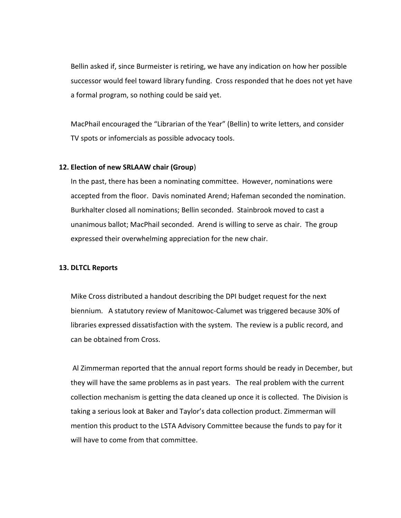Bellin asked if, since Burmeister is retiring, we have any indication on how her possible successor would feel toward library funding. Cross responded that he does not yet have a formal program, so nothing could be said yet.

MacPhail encouraged the "Librarian of the Year" (Bellin) to write letters, and consider TV spots or infomercials as possible advocacy tools.

### **12. Election of new SRLAAW chair (Group**)

In the past, there has been a nominating committee. However, nominations were accepted from the floor. Davis nominated Arend; Hafeman seconded the nomination. Burkhalter closed all nominations; Bellin seconded. Stainbrook moved to cast a unanimous ballot; MacPhail seconded. Arend is willing to serve as chair. The group expressed their overwhelming appreciation for the new chair.

### **13. DLTCL Reports**

Mike Cross distributed a handout describing the DPI budget request for the next biennium. A statutory review of Manitowoc-Calumet was triggered because 30% of libraries expressed dissatisfaction with the system. The review is a public record, and can be obtained from Cross.

Al Zimmerman reported that the annual report forms should be ready in December, but they will have the same problems as in past years. The real problem with the current collection mechanism is getting the data cleaned up once it is collected. The Division is taking a serious look at Baker and Taylor's data collection product. Zimmerman will mention this product to the LSTA Advisory Committee because the funds to pay for it will have to come from that committee.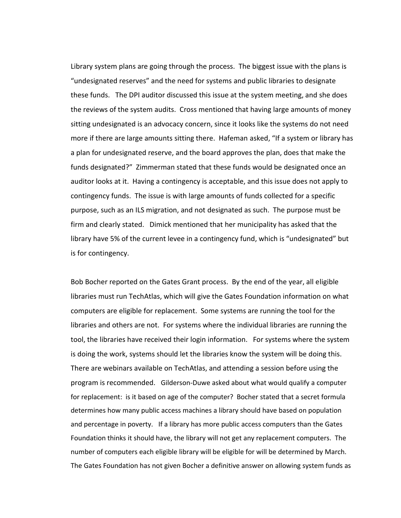Library system plans are going through the process. The biggest issue with the plans is "undesignated reserves" and the need for systems and public libraries to designate these funds. The DPI auditor discussed this issue at the system meeting, and she does the reviews of the system audits. Cross mentioned that having large amounts of money sitting undesignated is an advocacy concern, since it looks like the systems do not need more if there are large amounts sitting there. Hafeman asked, "If a system or library has a plan for undesignated reserve, and the board approves the plan, does that make the funds designated?" Zimmerman stated that these funds would be designated once an auditor looks at it. Having a contingency is acceptable, and this issue does not apply to contingency funds. The issue is with large amounts of funds collected for a specific purpose, such as an ILS migration, and not designated as such. The purpose must be firm and clearly stated. Dimick mentioned that her municipality has asked that the library have 5% of the current levee in a contingency fund, which is "undesignated" but is for contingency.

Bob Bocher reported on the Gates Grant process. By the end of the year, all eligible libraries must run TechAtlas, which will give the Gates Foundation information on what computers are eligible for replacement. Some systems are running the tool for the libraries and others are not. For systems where the individual libraries are running the tool, the libraries have received their login information. For systems where the system is doing the work, systems should let the libraries know the system will be doing this. There are webinars available on TechAtlas, and attending a session before using the program is recommended. Gilderson-Duwe asked about what would qualify a computer for replacement: is it based on age of the computer? Bocher stated that a secret formula determines how many public access machines a library should have based on population and percentage in poverty. If a library has more public access computers than the Gates Foundation thinks it should have, the library will not get any replacement computers. The number of computers each eligible library will be eligible for will be determined by March. The Gates Foundation has not given Bocher a definitive answer on allowing system funds as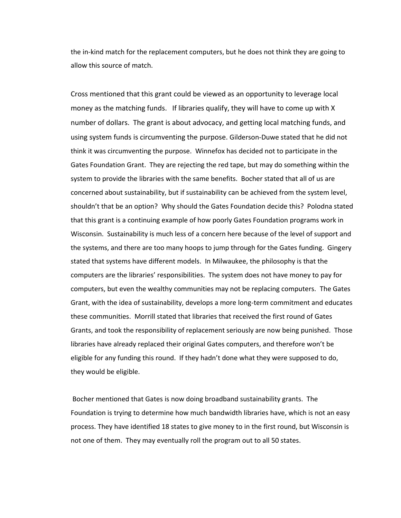the in-kind match for the replacement computers, but he does not think they are going to allow this source of match.

Cross mentioned that this grant could be viewed as an opportunity to leverage local money as the matching funds. If libraries qualify, they will have to come up with X number of dollars. The grant is about advocacy, and getting local matching funds, and using system funds is circumventing the purpose. Gilderson-Duwe stated that he did not think it was circumventing the purpose. Winnefox has decided not to participate in the Gates Foundation Grant. They are rejecting the red tape, but may do something within the system to provide the libraries with the same benefits. Bocher stated that all of us are concerned about sustainability, but if sustainability can be achieved from the system level, shouldn't that be an option? Why should the Gates Foundation decide this? Polodna stated that this grant is a continuing example of how poorly Gates Foundation programs work in Wisconsin. Sustainability is much less of a concern here because of the level of support and the systems, and there are too many hoops to jump through for the Gates funding. Gingery stated that systems have different models. In Milwaukee, the philosophy is that the computers are the libraries' responsibilities. The system does not have money to pay for computers, but even the wealthy communities may not be replacing computers. The Gates Grant, with the idea of sustainability, develops a more long-term commitment and educates these communities. Morrill stated that libraries that received the first round of Gates Grants, and took the responsibility of replacement seriously are now being punished. Those libraries have already replaced their original Gates computers, and therefore won't be eligible for any funding this round. If they hadn't done what they were supposed to do, they would be eligible.

Bocher mentioned that Gates is now doing broadband sustainability grants. The Foundation is trying to determine how much bandwidth libraries have, which is not an easy process. They have identified 18 states to give money to in the first round, but Wisconsin is not one of them. They may eventually roll the program out to all 50 states.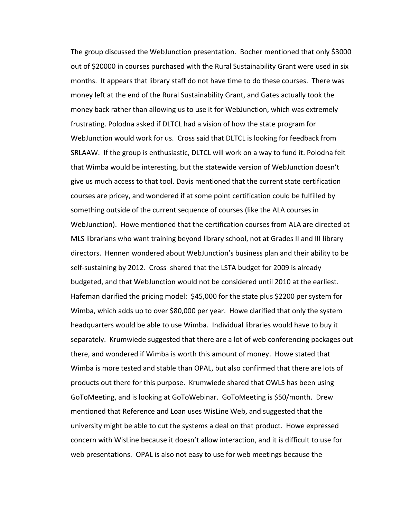The group discussed the WebJunction presentation. Bocher mentioned that only \$3000 out of \$20000 in courses purchased with the Rural Sustainability Grant were used in six months. It appears that library staff do not have time to do these courses. There was money left at the end of the Rural Sustainability Grant, and Gates actually took the money back rather than allowing us to use it for WebJunction, which was extremely frustrating. Polodna asked if DLTCL had a vision of how the state program for WebJunction would work for us. Cross said that DLTCL is looking for feedback from SRLAAW. If the group is enthusiastic, DLTCL will work on a way to fund it. Polodna felt that Wimba would be interesting, but the statewide version of WebJunction doesn't give us much access to that tool. Davis mentioned that the current state certification courses are pricey, and wondered if at some point certification could be fulfilled by something outside of the current sequence of courses (like the ALA courses in WebJunction). Howe mentioned that the certification courses from ALA are directed at MLS librarians who want training beyond library school, not at Grades II and III library directors. Hennen wondered about WebJunction's business plan and their ability to be self-sustaining by 2012. Cross shared that the LSTA budget for 2009 is already budgeted, and that WebJunction would not be considered until 2010 at the earliest. Hafeman clarified the pricing model: \$45,000 for the state plus \$2200 per system for Wimba, which adds up to over \$80,000 per year. Howe clarified that only the system headquarters would be able to use Wimba. Individual libraries would have to buy it separately. Krumwiede suggested that there are a lot of web conferencing packages out there, and wondered if Wimba is worth this amount of money. Howe stated that Wimba is more tested and stable than OPAL, but also confirmed that there are lots of products out there for this purpose. Krumwiede shared that OWLS has been using GoToMeeting, and is looking at GoToWebinar. GoToMeeting is \$50/month. Drew mentioned that Reference and Loan uses WisLine Web, and suggested that the university might be able to cut the systems a deal on that product. Howe expressed concern with WisLine because it doesn't allow interaction, and it is difficult to use for web presentations. OPAL is also not easy to use for web meetings because the